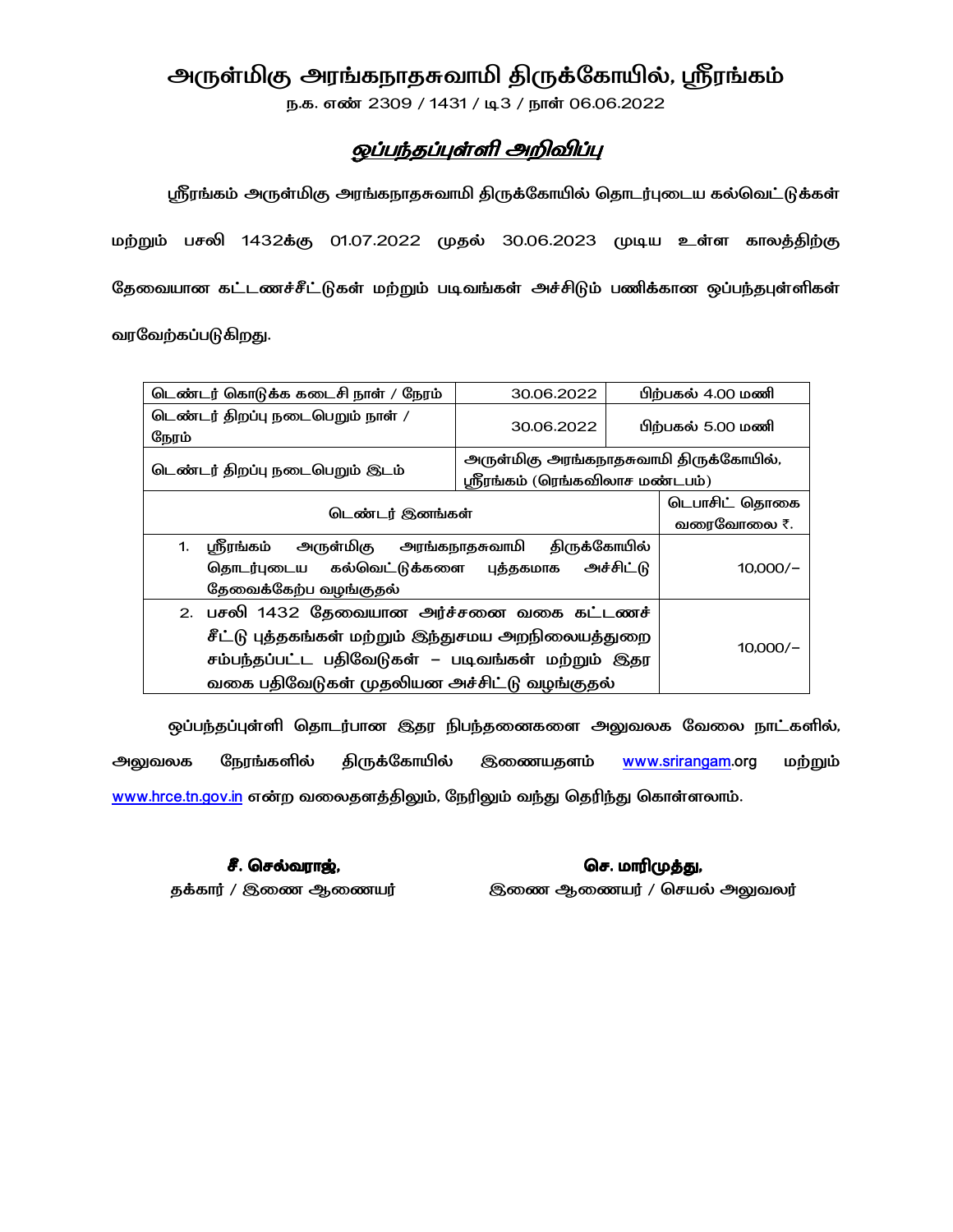# அருள்மிகு அரங்கநாதசுவாமி திருக்கோயில், ஸ்ரீரங்கம்

ந.க. எண் 2309 / 1431 / டி3 / நாள் 06.06.2022

## ஒப்பந்தப்புள்ளி அறிவிப்பு

ஸ்ரீரங்கம் அருள்மிகு அரங்கநாதசுவாமி திருக்கோயில் தொடர்புடைய கல்வெட்டுக்கள் மற்றும் பசலி 1432க்கு 01.07.2022 முதல் 30.06.2023 முடிய உள்ள காலத்திற்கு தேவையான கட்டணச்சீட்டுகள் மற்றும் படிவங்கள் அச்சிடும் பணிக்கான ஒப்பந்தபுள்ளிகள் வரவேற்கப்படுகிறது.

டெண்டர் கொடுக்க கடைசி நாள் / நேரம் 30.06.2022 பிற்பகல் 4.00 மணி டெண்டர் திறப்பு நடைபெறும் நாள் / 30.06.2022 பிற்பகல் 5.00 மணி நேரம் அருள்மிகு அரங்கநாதசுவாமி திருக்கோயில், டெண்டர் திறப்பு நடைபெறும் இடம் ஸ்ரீரங்கம் (ரெங்கவிலாச மண்டபம்) டெபாசிட் தொகை டெண்டர் இனங்கள் வரைவோலை ₹. 1. ஸ்ரீரங்கம் அருள்மிகு **திருக்கோயில்** அரங்கநாதசுவாமி தொடர்புடைய கல்வெட்டுக்களை அச்சிட்டு  $10,000/-$ புத்தகமாக தேவைக்கேற்ப வழங்குதல் 2. பசலி 1432 தேவையான அர்ச்சனை வகை கட்டணச் சீட்டு புத்தகங்கள் மற்றும் இந்துசமய அறநிலையத்துறை  $10,000/-$ சம்பந்தப்பட்ட பதிவேடுகள் – படிவங்கள் மற்றும் இதர வகை பதிவேடுகள் முதலியன அச்சிட்டு வழங்குதல்

ஒப்பந்தப்புள்ளி தொடர்பான இதர நிபந்தனைகளை அலுவலக வேலை நாட்களில், **திருக்கோ**யில் நேரங்களில் இணையதளம் www.srirangam.org அலுவலக மற்றும் www.hrce.tn.gov.in என்ற வலைதளத்திலும், நேரிலும் வந்து தெரிந்து கொள்ளலாம்.

சீ. செல்வராஜ், தக்கார் / இணை ஆணையர்

செ. மாரிமுத்து, இணை ஆணையர் / செயல் அலுவலர்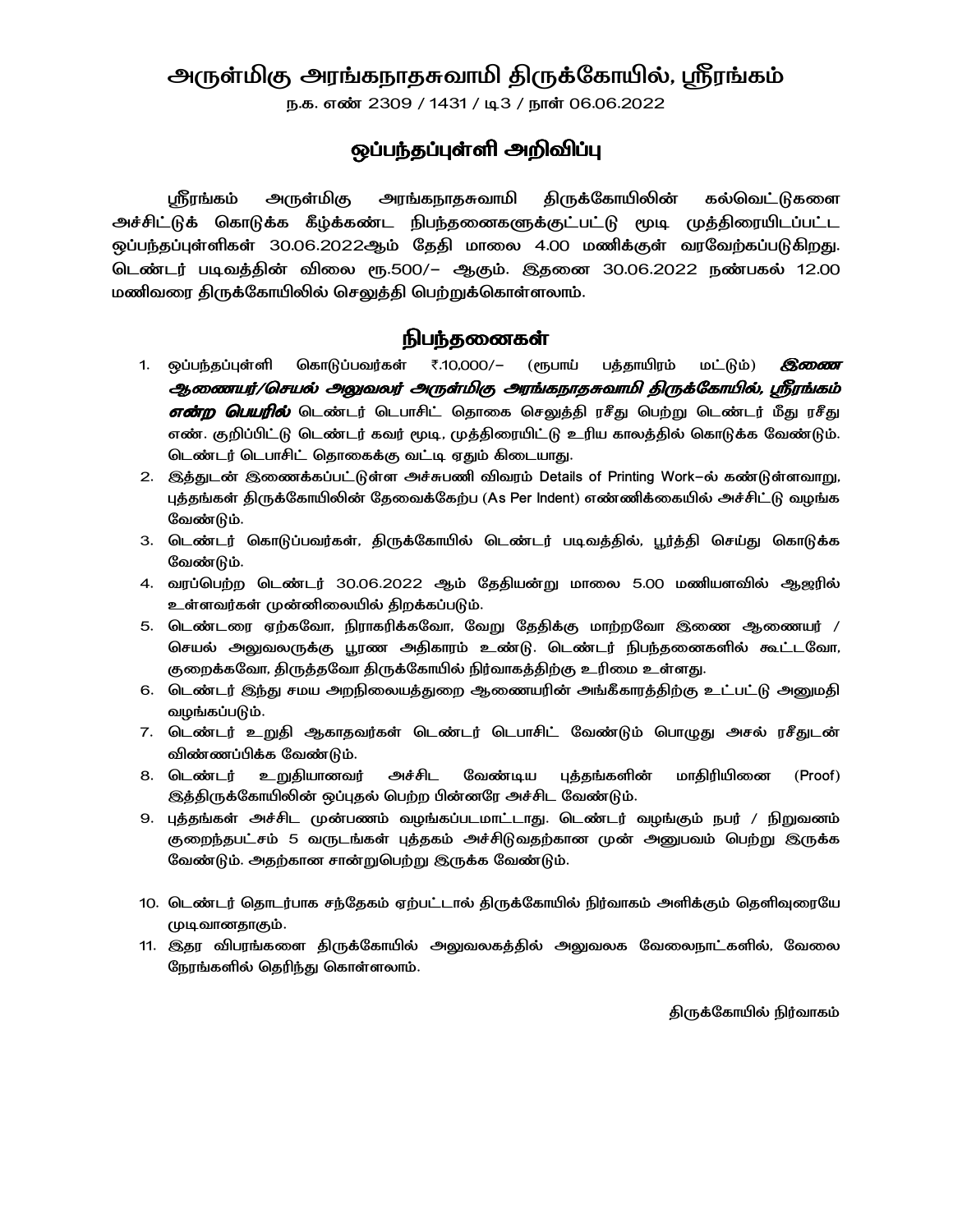## அருள்மிகு அரங்கநாதசுவாமி திருக்கோயில், ஸ்ரீரங்கம்

ந.க. எண் 2309 / 1431 / டி3 / நாள் 06.06.2022

### ஒப்பந்தப்புள்ளி அறிவிப்பு

௴௺௺௷ அருள்மிகு அரங்கநாதசுவாமி திருக்கோயிலின் கல்வெட்டுகளை அச்சிட்டுக் கொடுக்க கீழ்க்கண்ட நிபந்தனைகளுக்குட்பட்டு மூடி முத்திரையிடப்பட்ட ஒப்பந்தப்புள்ளிகள் 30.06.2022ஆம் தேதி மாலை 4.00 மணிக்குள் வரவேற்கப்படுகிறது. டெண்டர் படிவத்தின் விலை ரூ.500/– ஆகும். இதனை 30.06.2022 நண்பகல் 12.00 மணிவரை திருக்கோயிலில் செலுத்தி பெற்றுக்கொள்ளலாம்.

#### **நிபந்தனைகள்**

- கொடுப்பவர்கள் ₹.10,000/-பத்தாயிரம் மட்டும்) 1. ஒப்பந்தப்புள்ளி (ரூபாய் இணை ஆணையர்/செயல் அலுவலர் அருள்மிகு அரங்கநாதசுவாமி திருக்கோயில், ஸ்ரீரங்கம் **என்ற பெயரில்** டெண்டர் டெபாசிட் தொகை செலுத்தி ரசீது பெற்று டெண்டர் மீது ரசீது எண். குறிப்பிட்டு டெண்டர் கவர் மூடி, முத்திரையிட்டு உரிய காலத்தில் கொடுக்க வேண்டும். டெண்டர் டெபாசிட் தொகைக்கு வட்டி ஏதும் கிடையாது.
- 2. இத்துடன் இணைக்கப்பட்டுள்ள அச்சுபணி விவரம் Details of Printing Work-ல் கண்டுள்ளவாறு, புத்தங்கள் திருக்கோயிலின் தேவைக்கேற்ப (As Per Indent) எண்ணிக்கையில் அச்சிட்டு வழங்க வேண்டும்.
- 3. டெண்டர் கொடுப்பவர்கள், திருக்கோயில் டெண்டர் படிவத்தில், பூர்த்தி செய்து கொடுக்க வேண்டும்.
- 4. வரப்பெற்ற டெண்டர் 30.06.2022 ஆம் தேதியன்று மாலை 5.00 மணியளவில் ஆஜரில் உள்ளவர்கள் முன்னிலையில் திறக்கப்படும்.
- 5. டெண்டரை ஏற்கவோ, நிராகரிக்கவோ, வேறு தேதிக்கு மாற்றவோ இணை ஆணையர் / செயல் அலுவலருக்கு பூரண அதிகாரம் உண்டு. டெண்டர் நிபந்தனைகளில் கூட்டவோ, குறைக்கவோ, திருத்தவோ திருக்கோயில் நிர்வாகத்திற்கு உரிமை உள்ளது.
- 6. டெண்டர் இந்து சமய அறநிலையத்துறை ஆணையரின் அங்கீகாரத்திற்கு உட்பட்டு அனுமதி வழங்கப்படும்.
- 7. டெண்டர் உறுதி ஆகாதவர்கள் டெண்டர் டெபாசிட் வேண்டும் பொழுது அசல் ரசீதுடன் விண்ணப்பிக்க வேண்டும்.
- அச்சிட வேண்டிய புத்தங்களின் மாதிரியிணை 8. டெண்டர் உறுதியானவர் (Proof) இத்திருக்கோயிலின் ஒப்புதல் பெற்ற பின்னரே அச்சிட வேண்டும்.
- 9. புத்தங்கள் அச்சிட முன்பணம் வழங்கப்படமாட்டாது. டெண்டர் வழங்கும் நபர் / நிறுவனம் குறைந்தபட்சம் 5 வருடங்கள் புத்தகம் அச்சிடுவதற்கான முன் அனுபவம் பெற்று இருக்க வேண்டும். அதற்கான சான்றுபெற்று இருக்க வேண்டும்.
- 10. டெண்டர் தொடர்பாக சந்தேகம் ஏற்பட்டால் திருக்கோயில் நிர்வாகம் அளிக்கும் தெளிவுரையே முடிவானதாகும்.
- 11. இதர விபரங்களை திருக்கோயில் அலுவலகத்தில் அலுவலக வேலைநாட்களில், வேலை நேரங்களில் தெரிந்து கொள்ளலாம்.

திருக்கோயில் நிர்வாகம்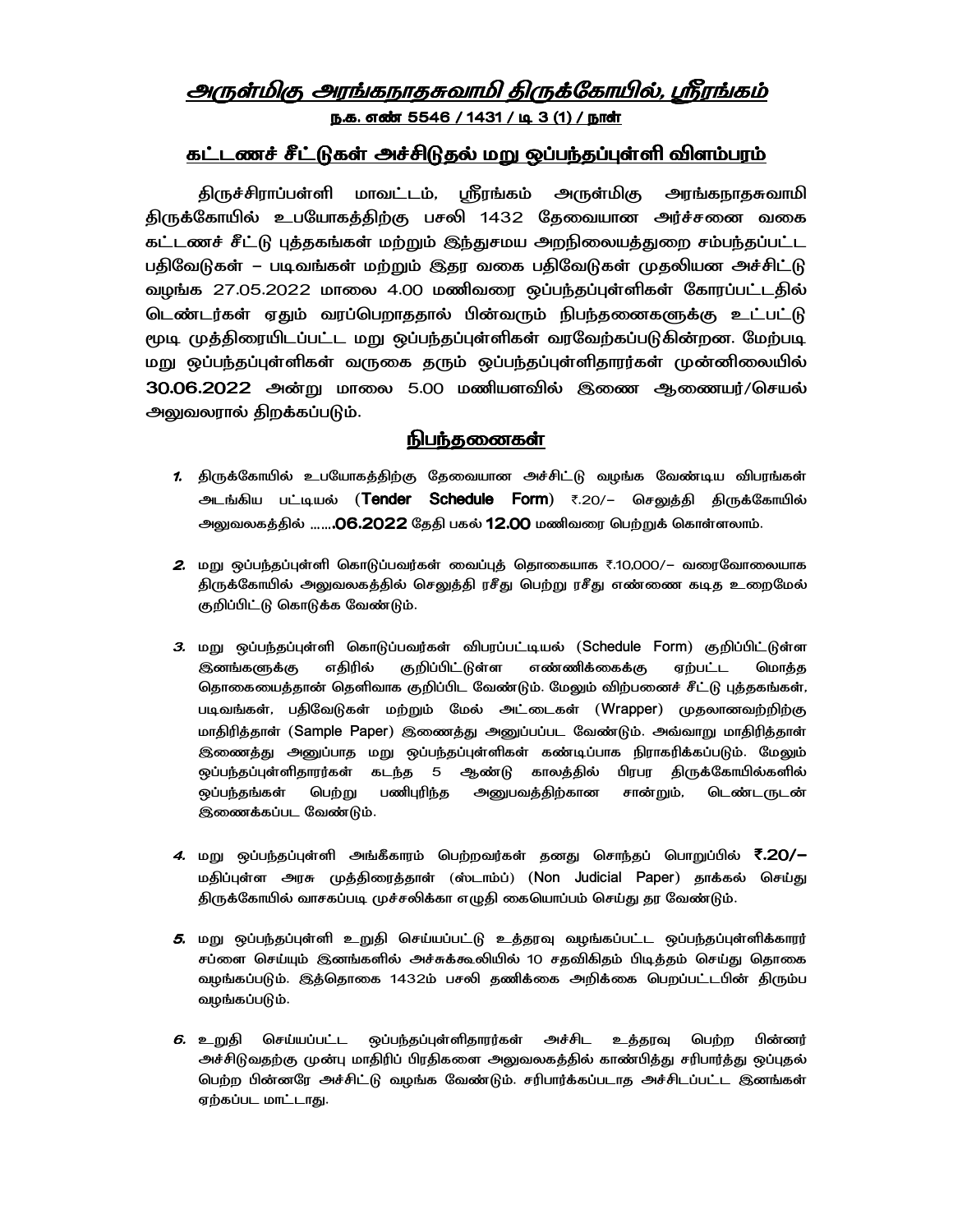## அருள்மிகு அரங்கநாதசுவாமி திருக்கோயில், ஸ்ரீரங்கம் <u>ந.க. எண் 5546 / 1431 / டி 3 (1) / நாள்</u>

#### கட்டணச் சீட்டுகள் அச்சிடுதல் மறு ஒப்பந்தப்புள்ளி விளம்பரம்

திருச்சிராப்பள்ளி மாவட்டம், ஸ்ரீரங்கம் அருள்மிகு அரங்கநாதசுவாமி திருக்கோயில் உபயோகத்திற்கு பசலி 1432 தேவையான அர்ச்சனை வகை கட்டணச் சீட்டு புக்குகங்கள் மற்றும் இந்துசமய அறநிலையக்துறை சம்பந்தப்பட்ட பதிவேடுகள் – படிவங்கள் மற்றும் இதர வகை பதிவேடுகள் முதலியன அச்சிட்டு வழங்க 27.05.2022 மாலை 4.00 மணிவரை ஒப்பந்தப்புள்ளிகள் கோரப்பட்டதில் டெண்டர்கள் ஏதும் வரப்பெறாததால் பின்வரும் நிபந்தனைகளுக்கு உட்பட்டு மூடி முத்திரையிடப்பட்ட மறு ஒப்பந்தப்புள்ளிகள் வரவேற்கப்படுகின்றன. மேற்படி மறு ஒப்பந்தப்புள்ளிகள் வருகை தரும் ஒப்பந்தப்புள்ளிதாரர்கள் முன்னிலையில் 30.06.2022 அன்று மாலை 5.00 மணியளவில் இணை ஆணையர்/செயல் அலுவலரால் திறக்கப்படும்.

#### **நிபந்கணைகள்**

- 1. திருக்கோயில் உபயோகத்திற்கு தேவையான அச்சிட்டு வழங்க வேண்டிய விபரங்கள் அடங்கிய பட்டியல் (Tender Schedule Form) ₹.20/- செலுத்தி திருக்கோயில் அலுவலகத்தில் …….06.2022 தேதி பகல் 12.00 மணிவரை பெற்றுக் கொள்ளலாம்.
- 2. மறு ஒப்பந்தப்புள்ளி கொடுப்பவர்கள் வைப்புத் தொகையாக ₹.10,000/− வரைவோலையாக திருக்கோயில் அலுவலகத்தில் செலுத்தி ரசீது பெற்று ரசீது எண்ணை கடித உறைமேல் குறிப்பிட்டு கொடுக்க வேண்டும்.
- 3. மறு ஒப்பந்தப்புள்ளி கொடுப்பவர்கள் விபரப்பட்டியல் (Schedule Form) குறிப்பிட்டுள்ள எதிரில் குறிப்பிட்டுள்ள எண்ணிக்கைக்கு ஏற்பட்ட **இனங்களுக்கு** மொத்த தொகையைத்தான் தெளிவாக குறிப்பிட வேண்டும். மேலும் விற்பனைச் சீட்டு புத்தகங்கள், படிவங்கள், பதிவேடுகள் மற்றும் மேல் அட்டைகள் (Wrapper) முதலானவற்றிற்கு மாதிரித்தாள் (Sample Paper) இணைத்து அனுப்பப்பட வேண்டும். அவ்வாறு மாதிரித்தாள் இணைத்து அனுப்பாத மறு ஒப்பந்தப்புள்ளிகள் கண்டிப்பாக நிராகரிக்கப்படும். மேலும் ஒப்பந்தப்புள்ளிதாரர்கள் கடந்த 5 ஆண்டு காலத்தில் பிரபர திருக்கோயில்களில் ஒப்பந்தங்கள் பெற்று பணிபுரிந்த அனுபவத்திற்கான சான்றும், டெண்டருடன் இணைக்கப்பட வேண்டும்.
- 4. மறு ஒப்பந்தப்புள்ளி அங்கீகாரம் பெற்றவர்கள் தனது சொந்தப் பொறுப்பில் ₹.20/— மதிப்புள்ள அரசு முத்திரைத்தாள் (ஸ்டாம்ப்) (Non Judicial Paper) தாக்கல் செய்து திருக்கோயில் வாசகப்படி முச்சலிக்கா எழுதி கையொப்பம் செய்து தர வேண்டும்.
- *5.* மறு ஒப்பந்தப்புள்ளி உறுதி செய்யப்பட்டு உத்தரவு வழங்கப்பட்ட ஒப்பந்தப்புள்ளிக்காரர் சப்ளை செய்யும் இனங்களில் அச்சுக்கூலியில் 10 சதவிகிதம் பிடித்தம் செய்து தொகை வழங்கப்படும். இத்தொகை 1432ம் பசலி தணிக்கை அறிக்கை பெறப்பட்டபின் திரும்ப வழங்கப்படும்.
- செய்யப்பட்ட ஒப்பந்தப்புள்ளிதாரர்கள் அச்சிட உத்தரவு 6. உறுதி பெற்ற பின்னர் அச்சிடுவதற்கு முன்பு மாதிரிப் பிரதிகளை அலுவலகத்தில் காண்பித்து சரிபார்த்து ஒப்புதல் பெற்ற பின்னரே அச்சிட்டு வழங்க வேண்டும். சரிபார்க்கப்படாத அச்சிடப்பட்ட இனங்கள் ஏற்கப்பட மாட்டாது.